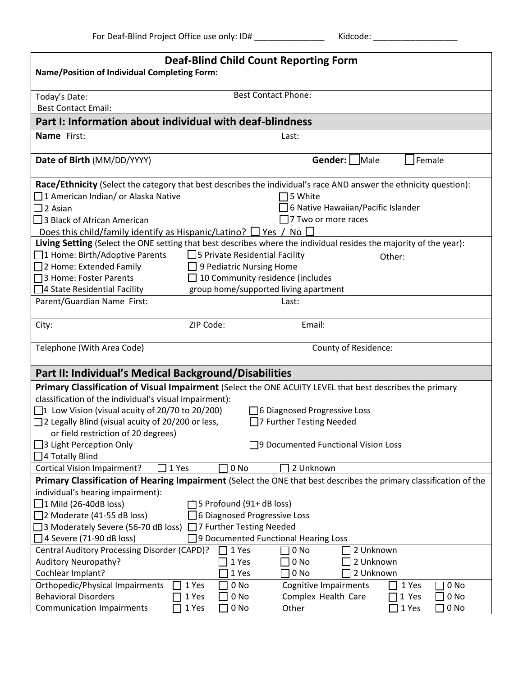| Kidcode: |
|----------|
|----------|

| <b>Deaf-Blind Child Count Reporting Form</b><br><b>Name/Position of Individual Completing Form:</b>                |                                         |                                       |               |  |  |  |  |
|--------------------------------------------------------------------------------------------------------------------|-----------------------------------------|---------------------------------------|---------------|--|--|--|--|
| Today's Date:                                                                                                      |                                         | <b>Best Contact Phone:</b>            |               |  |  |  |  |
| <b>Best Contact Email:</b>                                                                                         |                                         |                                       |               |  |  |  |  |
| Part I: Information about individual with deaf-blindness                                                           |                                         |                                       |               |  |  |  |  |
| Name First:                                                                                                        |                                         |                                       |               |  |  |  |  |
|                                                                                                                    |                                         | Last:                                 |               |  |  |  |  |
| Date of Birth (MM/DD/YYYY)                                                                                         |                                         | Gender:   Male                        | Female        |  |  |  |  |
| Race/Ethnicity (Select the category that best describes the individual's race AND answer the ethnicity question):  |                                         |                                       |               |  |  |  |  |
| $\Box$ 1 American Indian/ or Alaska Native                                                                         |                                         | $\Box$ 5 White                        |               |  |  |  |  |
| $\square$ 2 Asian                                                                                                  |                                         | 6 Native Hawaiian/Pacific Islander    |               |  |  |  |  |
| $\Box$ 3 Black of African American                                                                                 |                                         | $\Box$ 7 Two or more races            |               |  |  |  |  |
| Does this child/family identify as Hispanic/Latino? $\Box$ Yes / No $\Box$                                         |                                         |                                       |               |  |  |  |  |
| Living Setting (Select the ONE setting that best describes where the individual resides the majority of the year): |                                         |                                       |               |  |  |  |  |
| □1 Home: Birth/Adoptive Parents                                                                                    | $\Box$ 5 Private Residential Facility   |                                       | Other:        |  |  |  |  |
| □ 2 Home: Extended Family                                                                                          | 9 Pediatric Nursing Home                |                                       |               |  |  |  |  |
| □ 3 Home: Foster Parents                                                                                           | $\Box$ 10 Community residence (includes |                                       |               |  |  |  |  |
| □4 State Residential Facility                                                                                      |                                         | group home/supported living apartment |               |  |  |  |  |
| Parent/Guardian Name First:                                                                                        |                                         | Last:                                 |               |  |  |  |  |
| City:                                                                                                              | ZIP Code:                               | Email:                                |               |  |  |  |  |
| Telephone (With Area Code)                                                                                         |                                         | County of Residence:                  |               |  |  |  |  |
| Part II: Individual's Medical Background/Disabilities                                                              |                                         |                                       |               |  |  |  |  |
| Primary Classification of Visual Impairment (Select the ONE ACUITY LEVEL that best describes the primary           |                                         |                                       |               |  |  |  |  |
| classification of the individual's visual impairment):                                                             |                                         |                                       |               |  |  |  |  |
| $\Box$ 1 Low Vision (visual acuity of 20/70 to 20/200)                                                             |                                         | □ 6 Diagnosed Progressive Loss        |               |  |  |  |  |
| $\Box$ 2 Legally Blind (visual acuity of 20/200 or less,                                                           |                                         | □7 Further Testing Needed             |               |  |  |  |  |
| or field restriction of 20 degrees)                                                                                |                                         |                                       |               |  |  |  |  |
| $\Box$ 3 Light Perception Only                                                                                     |                                         | □9 Documented Functional Vision Loss  |               |  |  |  |  |
| $\Box$ 4 Totally Blind                                                                                             |                                         |                                       |               |  |  |  |  |
| <b>Cortical Vision Impairment?</b><br>1 Yes                                                                        | 0 <sub>No</sub>                         | 2 Unknown                             |               |  |  |  |  |
| Primary Classification of Hearing Impairment (Select the ONE that best describes the primary classification of the |                                         |                                       |               |  |  |  |  |
| individual's hearing impairment):                                                                                  |                                         |                                       |               |  |  |  |  |
| $\Box$ 1 Mild (26-40dB loss)                                                                                       | 5 Profound (91+ dB loss)                |                                       |               |  |  |  |  |
| $\Box$ 2 Moderate (41-55 dB loss)                                                                                  | 6 Diagnosed Progressive Loss            |                                       |               |  |  |  |  |
| $\Box$ 3 Moderately Severe (56-70 dB loss) $\Box$ 7 Further Testing Needed                                         |                                         |                                       |               |  |  |  |  |
| 9 Documented Functional Hearing Loss<br>$\Box$ 4 Severe (71-90 dB loss)                                            |                                         |                                       |               |  |  |  |  |
| Central Auditory Processing Disorder (CAPD)?<br>1 Yes<br>0 <sub>No</sub><br>2 Unknown                              |                                         |                                       |               |  |  |  |  |
| Auditory Neuropathy?                                                                                               | 1 Yes                                   | 2 Unknown<br>0 <sub>No</sub>          |               |  |  |  |  |
| Cochlear Implant?                                                                                                  | 1 Yes                                   | 0 <sub>No</sub><br>2 Unknown          |               |  |  |  |  |
| Orthopedic/Physical Impairments                                                                                    | 1 Yes<br>0 No                           | <b>Cognitive Impairments</b>          | 1 Yes<br>0 No |  |  |  |  |
| <b>Behavioral Disorders</b>                                                                                        | 1 Yes<br>0 No                           | Complex Health Care                   | 1 Yes<br>0 No |  |  |  |  |
| <b>Communication Impairments</b>                                                                                   | 1 Yes<br>0 No                           | Other                                 | 1 Yes<br>0 No |  |  |  |  |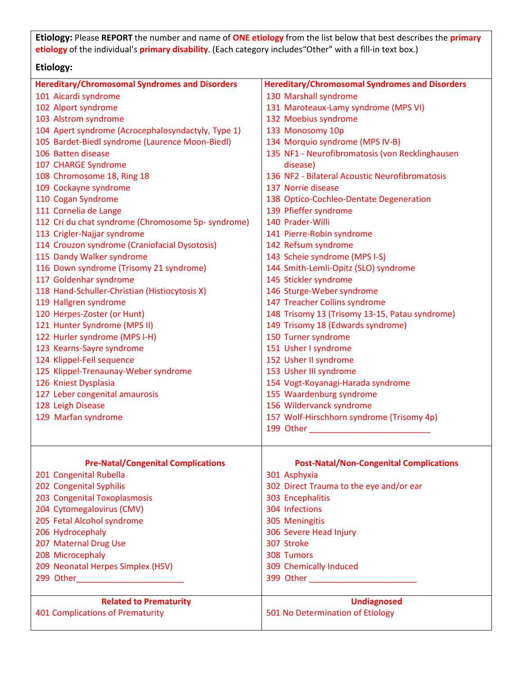**Etiology:** Please **REPORT** the number and name of **ONE etiology** from the list below that best describes the **primary etiology** of the individual's **primary disability**. (Each category includes"Other" with a fill-in text box.)

## **Etiology:**

| <b>Hereditary/Chromosomal Syndromes and Disorders</b> | <b>Hereditary/Chromosomal Syndromes and Disorders</b> |
|-------------------------------------------------------|-------------------------------------------------------|
| 101 Aicardi syndrome                                  | 130 Marshall syndrome                                 |
| 102 Alport syndrome                                   | 131 Maroteaux-Lamy syndrome (MPS VI)                  |
| 103 Alstrom syndrome                                  | 132 Moebius syndrome                                  |
| 104 Apert syndrome (Acrocephalosyndactyly, Type 1)    | 133 Monosomy 10p                                      |
| 105 Bardet-Biedl syndrome (Laurence Moon-Biedl)       | 134 Morquio syndrome (MPS IV-B)                       |
| 106 Batten disease                                    | 135 NF1 - Neurofibromatosis (von Recklinghausen       |
| 107 CHARGE Syndrome                                   | disease)                                              |
| 108 Chromosome 18, Ring 18                            | 136 NF2 - Bilateral Acoustic Neurofibromatosis        |
| 109 Cockayne syndrome                                 | 137 Norrie disease                                    |
|                                                       |                                                       |
| 110 Cogan Syndrome                                    | 138 Optico-Cochleo-Dentate Degeneration               |
| 111 Cornelia de Lange                                 | 139 Pfieffer syndrome                                 |
| 112 Cri du chat syndrome (Chromosome 5p- syndrome)    | 140 Prader-Willi                                      |
| 113 Crigler-Najjar syndrome                           | 141 Pierre-Robin syndrome                             |
| 114 Crouzon syndrome (Craniofacial Dysotosis)         | 142 Refsum syndrome                                   |
| 115 Dandy Walker syndrome                             | 143 Scheie syndrome (MPS I-S)                         |
| 116 Down syndrome (Trisomy 21 syndrome)               | 144 Smith-Lemli-Opitz (SLO) syndrome                  |
| 117 Goldenhar syndrome                                | 145 Stickler syndrome                                 |
| 118 Hand-Schuller-Christian (Histiocytosis X)         | 146 Sturge-Weber syndrome                             |
| 119 Hallgren syndrome                                 | 147 Treacher Collins syndrome                         |
| 120 Herpes-Zoster (or Hunt)                           | 148 Trisomy 13 (Trisomy 13-15, Patau syndrome)        |
| 121 Hunter Syndrome (MPS II)                          | 149 Trisomy 18 (Edwards syndrome)                     |
| 122 Hurler syndrome (MPS I-H)                         | 150 Turner syndrome                                   |
| 123 Kearns-Sayre syndrome                             | 151 Usher I syndrome                                  |
| 124 Klippel-Feil sequence                             | 152 Usher II syndrome                                 |
| 125 Klippel-Trenaunay-Weber syndrome                  | 153 Usher III syndrome                                |
|                                                       |                                                       |
| 126 Kniest Dysplasia                                  | 154 Vogt-Koyanagi-Harada syndrome                     |
| 127 Leber congenital amaurosis                        | 155 Waardenburg syndrome                              |
| 128 Leigh Disease                                     | 156 Wildervanck syndrome                              |
| 129 Marfan syndrome                                   | 157 Wolf-Hirschhorn syndrome (Trisomy 4p)             |
|                                                       |                                                       |
| <b>Pre-Natal/Congenital Complications</b>             | <b>Post-Natal/Non-Congenital Complications</b>        |
| 201 Congenital Rubella                                | 301 Asphyxia                                          |
| 202 Congenital Syphilis                               | 302 Direct Trauma to the eye and/or ear               |
|                                                       |                                                       |
| 203 Congenital Toxoplasmosis                          | 303 Encephalitis                                      |
| 204 Cytomegalovirus (CMV)                             | 304 Infections                                        |
| 205 Fetal Alcohol syndrome                            | 305 Meningitis                                        |
| 206 Hydrocephaly                                      | 306 Severe Head Injury                                |
| 207 Maternal Drug Use                                 | 307 Stroke                                            |
| 208 Microcephaly                                      | 308 Tumors                                            |
| 209 Neonatal Herpes Simplex (HSV)                     | 309 Chemically Induced                                |
|                                                       |                                                       |
|                                                       |                                                       |
| <b>Related to Prematurity</b>                         | <b>Undiagnosed</b>                                    |
| <b>401 Complications of Prematurity</b>               | 501 No Determination of Etiology                      |
|                                                       |                                                       |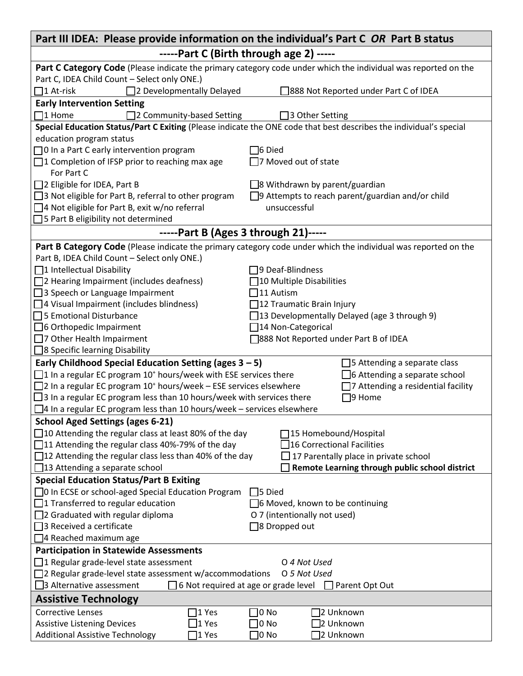|                                                                                                         | Part III IDEA: Please provide information on the individual's Part C OR Part B status                              |  |  |  |  |  |
|---------------------------------------------------------------------------------------------------------|--------------------------------------------------------------------------------------------------------------------|--|--|--|--|--|
| -----Part C (Birth through age 2) -----                                                                 |                                                                                                                    |  |  |  |  |  |
|                                                                                                         | Part C Category Code (Please indicate the primary category code under which the individual was reported on the     |  |  |  |  |  |
| Part C, IDEA Child Count - Select only ONE.)                                                            |                                                                                                                    |  |  |  |  |  |
| □2 Developmentally Delayed<br>$\square$ 1 At-risk                                                       | 388 Not Reported under Part C of IDEA                                                                              |  |  |  |  |  |
| <b>Early Intervention Setting</b>                                                                       |                                                                                                                    |  |  |  |  |  |
| $\Box$ 1 Home<br>□2 Community-based Setting                                                             | □ 3 Other Setting                                                                                                  |  |  |  |  |  |
|                                                                                                         | Special Education Status/Part C Exiting (Please indicate the ONE code that best describes the individual's special |  |  |  |  |  |
| education program status                                                                                |                                                                                                                    |  |  |  |  |  |
| $\Box$ 0 In a Part C early intervention program                                                         | $\mathsf{\bar{\text{}}}$ Died                                                                                      |  |  |  |  |  |
| □1 Completion of IFSP prior to reaching max age                                                         | $\Box$ 7 Moved out of state                                                                                        |  |  |  |  |  |
| For Part C                                                                                              |                                                                                                                    |  |  |  |  |  |
| □ 2 Eligible for IDEA, Part B                                                                           | $\square$ 8 Withdrawn by parent/guardian                                                                           |  |  |  |  |  |
| □ 3 Not eligible for Part B, referral to other program                                                  | $\Box$ 9 Attempts to reach parent/guardian and/or child                                                            |  |  |  |  |  |
| □ 4 Not eligible for Part B, exit w/no referral                                                         | unsuccessful                                                                                                       |  |  |  |  |  |
| □ 5 Part B eligibility not determined                                                                   |                                                                                                                    |  |  |  |  |  |
| $---$ Part B (Ages 3 through 21) $---$                                                                  |                                                                                                                    |  |  |  |  |  |
|                                                                                                         | Part B Category Code (Please indicate the primary category code under which the individual was reported on the     |  |  |  |  |  |
| Part B, IDEA Child Count - Select only ONE.)                                                            |                                                                                                                    |  |  |  |  |  |
| □1 Intellectual Disability                                                                              | 9 Deaf-Blindness                                                                                                   |  |  |  |  |  |
| $\Box$ 2 Hearing Impairment (includes deafness)                                                         | 10 Multiple Disabilities                                                                                           |  |  |  |  |  |
| $\Box$ 3 Speech or Language Impairment                                                                  | 11 Autism                                                                                                          |  |  |  |  |  |
| $\Box$ 4 Visual Impairment (includes blindness)                                                         | 12 Traumatic Brain Injury                                                                                          |  |  |  |  |  |
| $\Box$ 5 Emotional Disturbance                                                                          | [13 Developmentally Delayed (age 3 through 9)                                                                      |  |  |  |  |  |
| $\Box$ 6 Orthopedic Impairment                                                                          | □14 Non-Categorical                                                                                                |  |  |  |  |  |
| 7 Other Health Impairment                                                                               | 388 Not Reported under Part B of IDEA                                                                              |  |  |  |  |  |
| □ 8 Specific learning Disability                                                                        |                                                                                                                    |  |  |  |  |  |
| Early Childhood Special Education Setting (ages $3 - 5$ )                                               | $\Box$ 5 Attending a separate class                                                                                |  |  |  |  |  |
| $\Box$ 1 In a regular EC program 10 <sup>+</sup> hours/week with ESE services there                     | $\Box$ 6 Attending a separate school                                                                               |  |  |  |  |  |
| $\Box$ 2 In a regular EC program 10 <sup>+</sup> hours/week - ESE services elsewhere                    | $\Box$ 7 Attending a residential facility                                                                          |  |  |  |  |  |
| $\Box$ 3 In a regular EC program less than 10 hours/week with services there                            | $\square$ 9 Home                                                                                                   |  |  |  |  |  |
| $\Box$ 4 In a regular EC program less than 10 hours/week – services elsewhere                           |                                                                                                                    |  |  |  |  |  |
| <b>School Aged Settings (ages 6-21)</b>                                                                 |                                                                                                                    |  |  |  |  |  |
| $\Box$ 10 Attending the regular class at least 80% of the day<br>15 Homebound/Hospital                  |                                                                                                                    |  |  |  |  |  |
| $\Box$ 11 Attending the regular class 40%-79% of the day<br>16 Correctional Facilities                  |                                                                                                                    |  |  |  |  |  |
| $\Box$ 12 Attending the regular class less than 40% of the day<br>17 Parentally place in private school |                                                                                                                    |  |  |  |  |  |
| $\Box$ 13 Attending a separate school<br>Remote Learning through public school district                 |                                                                                                                    |  |  |  |  |  |
| <b>Special Education Status/Part B Exiting</b>                                                          |                                                                                                                    |  |  |  |  |  |
| □ In ECSE or school-aged Special Education Program<br>$\Box$ 5 Died                                     |                                                                                                                    |  |  |  |  |  |
| $\Box$ 1 Transferred to regular education<br>6 Moved, known to be continuing                            |                                                                                                                    |  |  |  |  |  |
| $\Box$ 2 Graduated with regular diploma<br>O 7 (intentionally not used)                                 |                                                                                                                    |  |  |  |  |  |
| $\Box$ 3 Received a certificate<br>□8 Dropped out                                                       |                                                                                                                    |  |  |  |  |  |
| $\Box$ 4 Reached maximum age                                                                            |                                                                                                                    |  |  |  |  |  |
| <b>Participation in Statewide Assessments</b>                                                           |                                                                                                                    |  |  |  |  |  |
| $\Box$ 1 Regular grade-level state assessment<br>O 4 Not Used                                           |                                                                                                                    |  |  |  |  |  |
| $\Box$ 2 Regular grade-level state assessment w/accommodations<br>O 5 Not Used                          |                                                                                                                    |  |  |  |  |  |
| 3 Alternative assessment<br>$\Box$ 6 Not required at age or grade level<br>$\Box$ Parent Opt Out        |                                                                                                                    |  |  |  |  |  |
| <b>Assistive Technology</b>                                                                             |                                                                                                                    |  |  |  |  |  |
| <b>Corrective Lenses</b><br>$ 1$ Yes<br>1 Yes                                                           | ]0 No<br>2 Unknown<br>2 Unknown<br>]0 No                                                                           |  |  |  |  |  |
| <b>Assistive Listening Devices</b><br><b>Additional Assistive Technology</b><br>1 Yes                   | $\Box$ 0 No<br>]2 Unknown                                                                                          |  |  |  |  |  |
|                                                                                                         |                                                                                                                    |  |  |  |  |  |